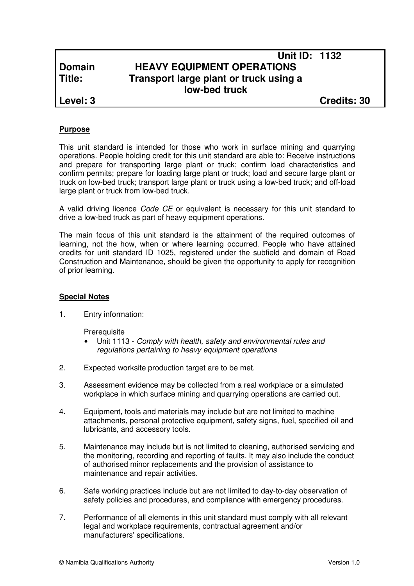# **Unit ID: 1132 Domain HEAVY EQUIPMENT OPERATIONS Title: Transport large plant or truck using a low-bed truck**

**Level: 3 Credits: 30**

# **Purpose**

This unit standard is intended for those who work in surface mining and quarrying operations. People holding credit for this unit standard are able to: Receive instructions and prepare for transporting large plant or truck; confirm load characteristics and confirm permits; prepare for loading large plant or truck; load and secure large plant or truck on low-bed truck; transport large plant or truck using a low-bed truck; and off-load large plant or truck from low-bed truck.

A valid driving licence Code CE or equivalent is necessary for this unit standard to drive a low-bed truck as part of heavy equipment operations.

The main focus of this unit standard is the attainment of the required outcomes of learning, not the how, when or where learning occurred. People who have attained credits for unit standard ID 1025, registered under the subfield and domain of Road Construction and Maintenance, should be given the opportunity to apply for recognition of prior learning.

## **Special Notes**

1. Entry information:

**Prerequisite** 

- Unit 1113 Comply with health, safety and environmental rules and regulations pertaining to heavy equipment operations
- 2. Expected worksite production target are to be met.
- 3. Assessment evidence may be collected from a real workplace or a simulated workplace in which surface mining and quarrying operations are carried out.
- 4. Equipment, tools and materials may include but are not limited to machine attachments, personal protective equipment, safety signs, fuel, specified oil and lubricants, and accessory tools.
- 5. Maintenance may include but is not limited to cleaning, authorised servicing and the monitoring, recording and reporting of faults. It may also include the conduct of authorised minor replacements and the provision of assistance to maintenance and repair activities.
- 6. Safe working practices include but are not limited to day-to-day observation of safety policies and procedures, and compliance with emergency procedures.
- 7. Performance of all elements in this unit standard must comply with all relevant legal and workplace requirements, contractual agreement and/or manufacturers' specifications.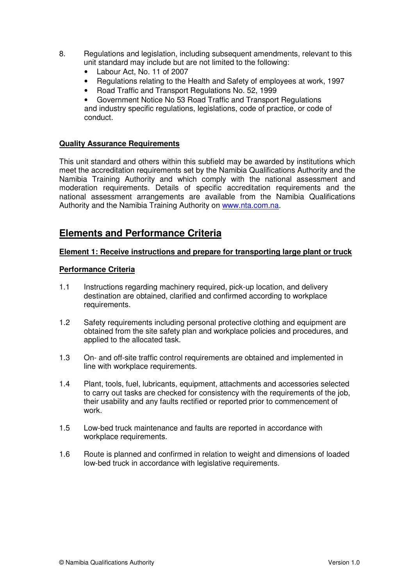- 8. Regulations and legislation, including subsequent amendments, relevant to this unit standard may include but are not limited to the following:
	- Labour Act, No. 11 of 2007
	- Regulations relating to the Health and Safety of employees at work, 1997
	- Road Traffic and Transport Regulations No. 52, 1999

• Government Notice No 53 Road Traffic and Transport Regulations and industry specific regulations, legislations, code of practice, or code of conduct.

## **Quality Assurance Requirements**

This unit standard and others within this subfield may be awarded by institutions which meet the accreditation requirements set by the Namibia Qualifications Authority and the Namibia Training Authority and which comply with the national assessment and moderation requirements. Details of specific accreditation requirements and the national assessment arrangements are available from the Namibia Qualifications Authority and the Namibia Training Authority on www.nta.com.na.

# **Elements and Performance Criteria**

#### **Element 1: Receive instructions and prepare for transporting large plant or truck**

#### **Performance Criteria**

- 1.1 Instructions regarding machinery required, pick-up location, and delivery destination are obtained, clarified and confirmed according to workplace requirements.
- 1.2 Safety requirements including personal protective clothing and equipment are obtained from the site safety plan and workplace policies and procedures, and applied to the allocated task.
- 1.3 On- and off-site traffic control requirements are obtained and implemented in line with workplace requirements.
- 1.4 Plant, tools, fuel, lubricants, equipment, attachments and accessories selected to carry out tasks are checked for consistency with the requirements of the job, their usability and any faults rectified or reported prior to commencement of work.
- 1.5 Low-bed truck maintenance and faults are reported in accordance with workplace requirements.
- 1.6 Route is planned and confirmed in relation to weight and dimensions of loaded low-bed truck in accordance with legislative requirements.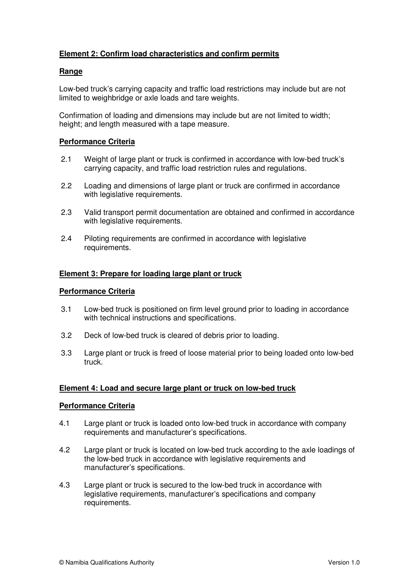# **Element 2: Confirm load characteristics and confirm permits**

## **Range**

Low-bed truck's carrying capacity and traffic load restrictions may include but are not limited to weighbridge or axle loads and tare weights.

Confirmation of loading and dimensions may include but are not limited to width; height; and length measured with a tape measure.

### **Performance Criteria**

- 2.1 Weight of large plant or truck is confirmed in accordance with low-bed truck's carrying capacity, and traffic load restriction rules and regulations.
- 2.2 Loading and dimensions of large plant or truck are confirmed in accordance with legislative requirements.
- 2.3 Valid transport permit documentation are obtained and confirmed in accordance with legislative requirements.
- 2.4 Piloting requirements are confirmed in accordance with legislative requirements.

#### **Element 3: Prepare for loading large plant or truck**

## **Performance Criteria**

- 3.1 Low-bed truck is positioned on firm level ground prior to loading in accordance with technical instructions and specifications.
- 3.2 Deck of low-bed truck is cleared of debris prior to loading.
- 3.3 Large plant or truck is freed of loose material prior to being loaded onto low-bed truck.

#### **Element 4: Load and secure large plant or truck on low-bed truck**

#### **Performance Criteria**

- 4.1 Large plant or truck is loaded onto low-bed truck in accordance with company requirements and manufacturer's specifications.
- 4.2 Large plant or truck is located on low-bed truck according to the axle loadings of the low-bed truck in accordance with legislative requirements and manufacturer's specifications.
- 4.3 Large plant or truck is secured to the low-bed truck in accordance with legislative requirements, manufacturer's specifications and company requirements.